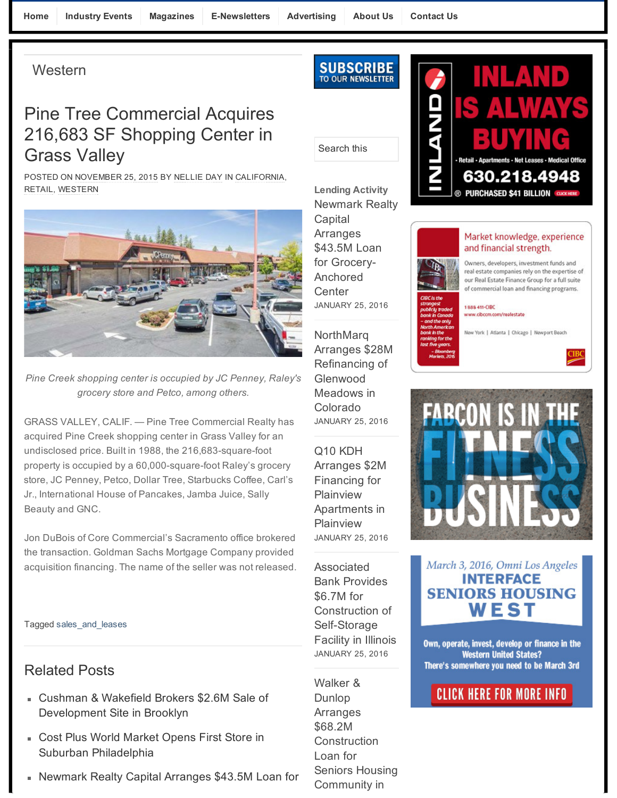Home Industry Events Magazines E-Newsletters Advertising About Us Contact Us Hotel Healthcare

**Western** 

# Pine Tree Commercial Acquires 216,683 SF Shopping Center in Grass Valley

POSTED ON NOVEMBER 25, 2015 BY NELLIE DAY IN CALIFORNIA, RETAIL, WESTERN



Grass Valley *Pine Creek shopping center is occupied by JC Penney, Raley's* POSTED ON NOVEMBER 25, 2015 BY NELLIE DAY IN CALIFORNIA, *grocery store and Petco, among others.*

GRASS VALLEY, CALIF. — Pine Tree Commercial Realty has acquired Pine Creek shopping center in Grass Valley for an undisclosed price. Built in 1988, the 216,683-square-foot property is occupied by a 60,000-square-foot Raley's grocery store, JC Penney, Petco, Dollar Tree, Starbucks Coffee, Carl's Jr., International House of Pancakes, Jamba Juice, Sally Beauty and GNC.

Jon DuBois of Core Commercial's Sacramento office brokered the transaction. Goldman Sachs Mortgage Company provided acquisition financing. The name of the seller was not released.

### Tagged sales\_and\_leases

### accuracy in Grass Valley for an extension  $P$  in Grass Valley for an extension  $\mathcal{P}$ Related Posts

- Cushman & Wakefield Brokers \$2.6M Sale of Development Site in Brooklyn
- Cost Plus World Market Opens First Store in Jon DuBois of Core Commercial's Sacramento office brokered Suburban Philadelphia
- Newmark Realty Capital Arranges \$43.5M Loan for



## Search this

Lending Activity Newmark Realty **Capital Arranges** \$43.5M Loan for Grocery-Anchored **Center** JANUARY 25, 2016

numeneng o **Colorado** JANUARY 25, 2016<br>. NorthMarq Arranges \$28M Refinancing of Meadows in Colorado

 $\overline{C}$ Arranges Arranges \$2M<br>— Financing for Plainview<br>
. Apartments in  $\overline{1}$  IGILIVIC W Q10 KDH Plainview JANUARY 25, 2016

 $\lambda$ Assuuditu<br>Desta Barrio Bank Provides  $\frac{1}{2}$ Construction of Self-Storage Facility in Illinois Associated \$6.7M for JANUARY 25, 2016

 $\overline{\phantom{a}}$ Walker &<br>P Dunlop<br>. Arranges  $\phi$ UO.  $\angle$ IVI $\sim$ Construction Loan for Community in \$68.2M Construction Seniors Housing



### Market knowledge, experience and financial strength.

Owners, developers, investment funds and real estate companies rely on the expertise of our Real Estate Finance Group for a full suite of commercial loan and financing programs.

#### 1888 411-CIBC www.cibccm.com/realestate

New York | Atlanta | Chicago | Newport Beach





March 3, 2016, Omni Los Angeles **INTERFACE SENIORS HOUSING** WEST

Own, operate, invest, develop or finance in the **Western United States?** There's somewhere you need to be March 3rd

### **CLICK HERE FOR MORE INFO**